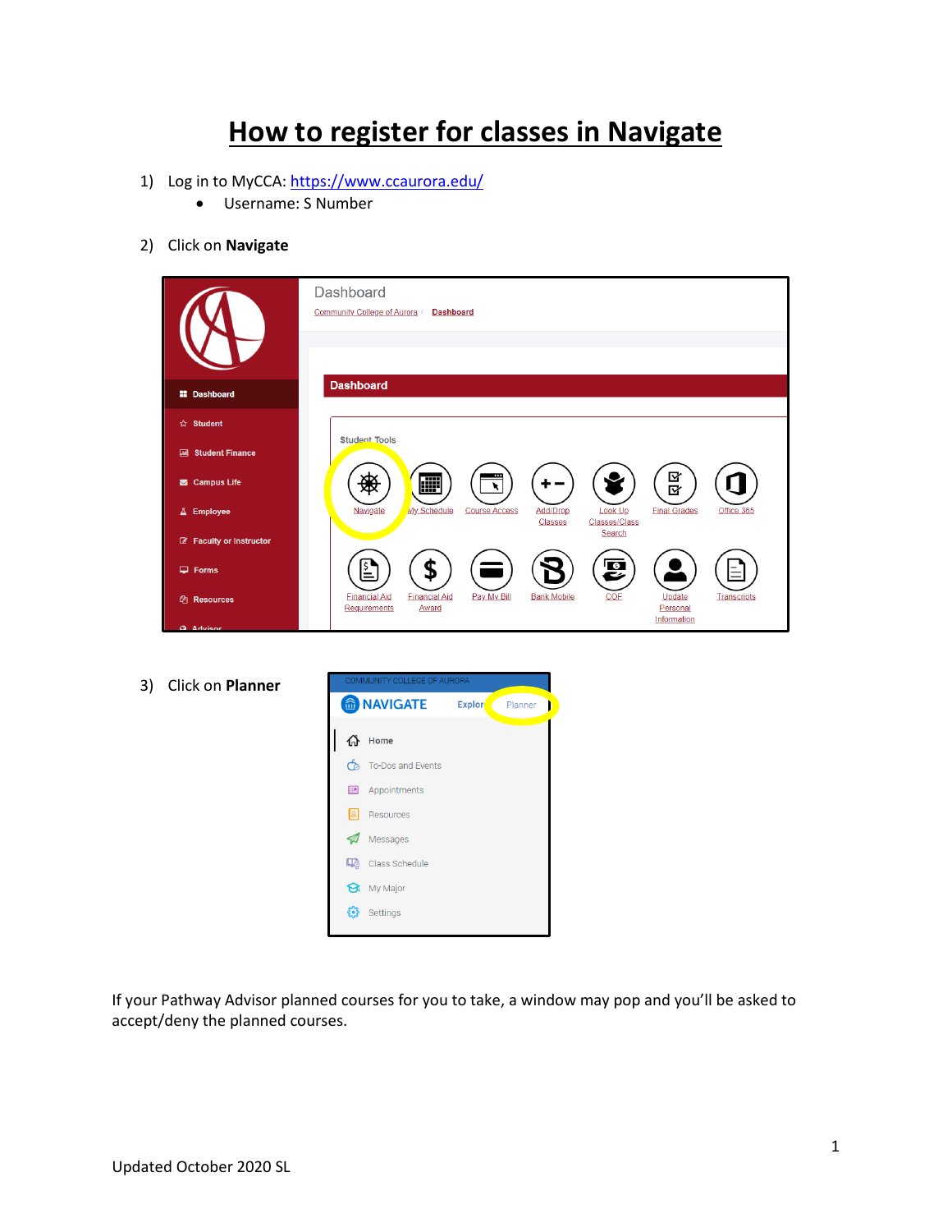# **How to register for classes in Navigate**

- 1) Log in to MyCCA:<https://www.ccaurora.edu/>
	- Username: S Number
- 2) Click on **Navigate**



3) Click on **Planner**



If your Pathway Advisor planned courses for you to take, a window may pop and you'll be asked to accept/deny the planned courses.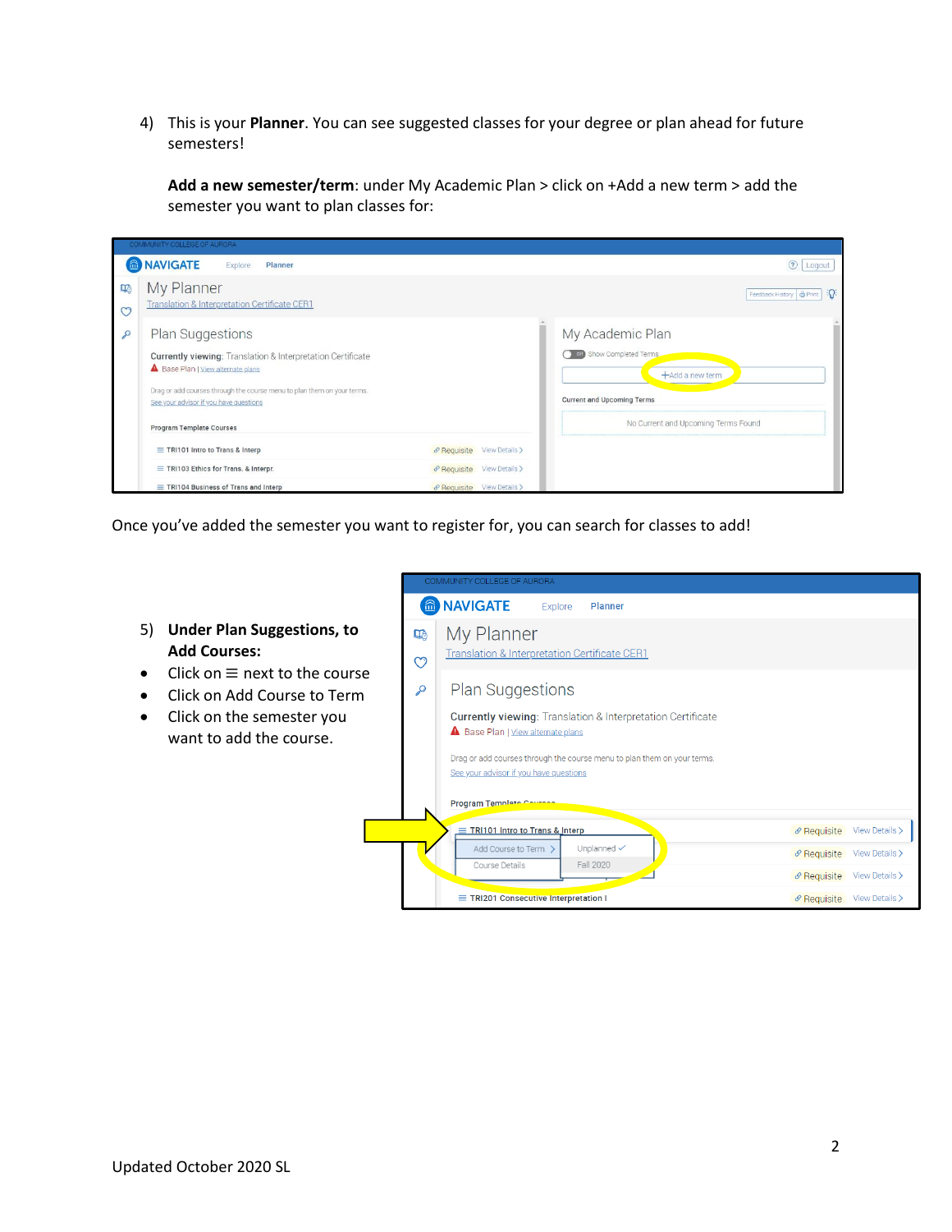4) This is your **Planner**. You can see suggested classes for your degree or plan ahead for future semesters!

Add a new semester/term: under My Academic Plan > click on +Add a new term > add the semester you want to plan classes for:

|               | COMMUNITY COLLEGE OF AURORA                                                                                                                   |                                                                          |                                      |  |
|---------------|-----------------------------------------------------------------------------------------------------------------------------------------------|--------------------------------------------------------------------------|--------------------------------------|--|
|               | MAVIGATE<br>Explore<br>Planner                                                                                                                |                                                                          | (2)<br>Logout                        |  |
| 吸<br>$\circ$  | My Planner<br>Translation & Interpretation Certificate CER1                                                                                   |                                                                          | Feedback History & Print<br>$\Omega$ |  |
| $\mathcal{L}$ | <b>Plan Suggestions</b><br>Currently viewing: Translation & Interpretation Certificate<br>Base Plan   View alternate plans                    | My Academic Plan<br>C CF Show Completed Terms<br>+Add a new term         |                                      |  |
|               | Drag or add courses through the course menu to plan them on your terms.<br>See your advisor if you have questions<br>Program Template Courses | <b>Current and Upcoming Terms</b><br>No Current and Upcoming Terms Found |                                      |  |
|               | $\equiv$ TRI101 Intro to Trans & Interp                                                                                                       | <b><i>S</i></b> Requisite View Details >                                 |                                      |  |
|               | $\equiv$ TRI103 Ethics for Trans. & Interpr.                                                                                                  | <b><i>↑</i></b> Requisite View Details >                                 |                                      |  |
|               | $\equiv$ TRI104 Business of Trans and Interp                                                                                                  | <b><i>●</i> Requisite</b> View Details >                                 |                                      |  |

Once you've added the semester you want to register for, you can search for classes to add!

- 5) **Under Plan Suggestions, to Add Courses:**
- Click on  $\equiv$  next to the cours
- Click on Add Course to Terr
- Click on the semester you want to add the course.

|          | COMMUNITY COLLEGE OF AURORA |                                                                                                                                                                                                                                                                  |                                                                            |                                                    |  |  |
|----------|-----------------------------|------------------------------------------------------------------------------------------------------------------------------------------------------------------------------------------------------------------------------------------------------------------|----------------------------------------------------------------------------|----------------------------------------------------|--|--|
|          |                             | MAVIGATE<br>Explore<br>Planner                                                                                                                                                                                                                                   |                                                                            |                                                    |  |  |
|          | Q<br>$\circlearrowleft$     | My Planner<br>Translation & Interpretation Certificate CER1                                                                                                                                                                                                      |                                                                            |                                                    |  |  |
| rse<br>m | $\mathcal{S}$               | Plan Suggestions                                                                                                                                                                                                                                                 |                                                                            |                                                    |  |  |
|          |                             | <b>Currently viewing:</b> Translation & Interpretation Certificate<br><b>A</b> Base Plan   View alternate plans<br>Drag or add courses through the course menu to plan them on your terms.<br>See your advisor if you have questions<br>Program Template Courses |                                                                            |                                                    |  |  |
|          |                             | TRI101 Intro to Trans & Interp<br>Unplanned $\checkmark$<br>Add Course to Term ><br>Fall 2020<br>Course Details                                                                                                                                                  | $\mathcal O$ Requisite<br>$\mathscr O$ Requisite<br>$\mathcal O$ Requisite | View Details ><br>View Details ><br>View Details > |  |  |
|          |                             | $\equiv$ TRI201 Consecutive Interpretation I                                                                                                                                                                                                                     | $\mathcal O$ Requisite                                                     | View Details >                                     |  |  |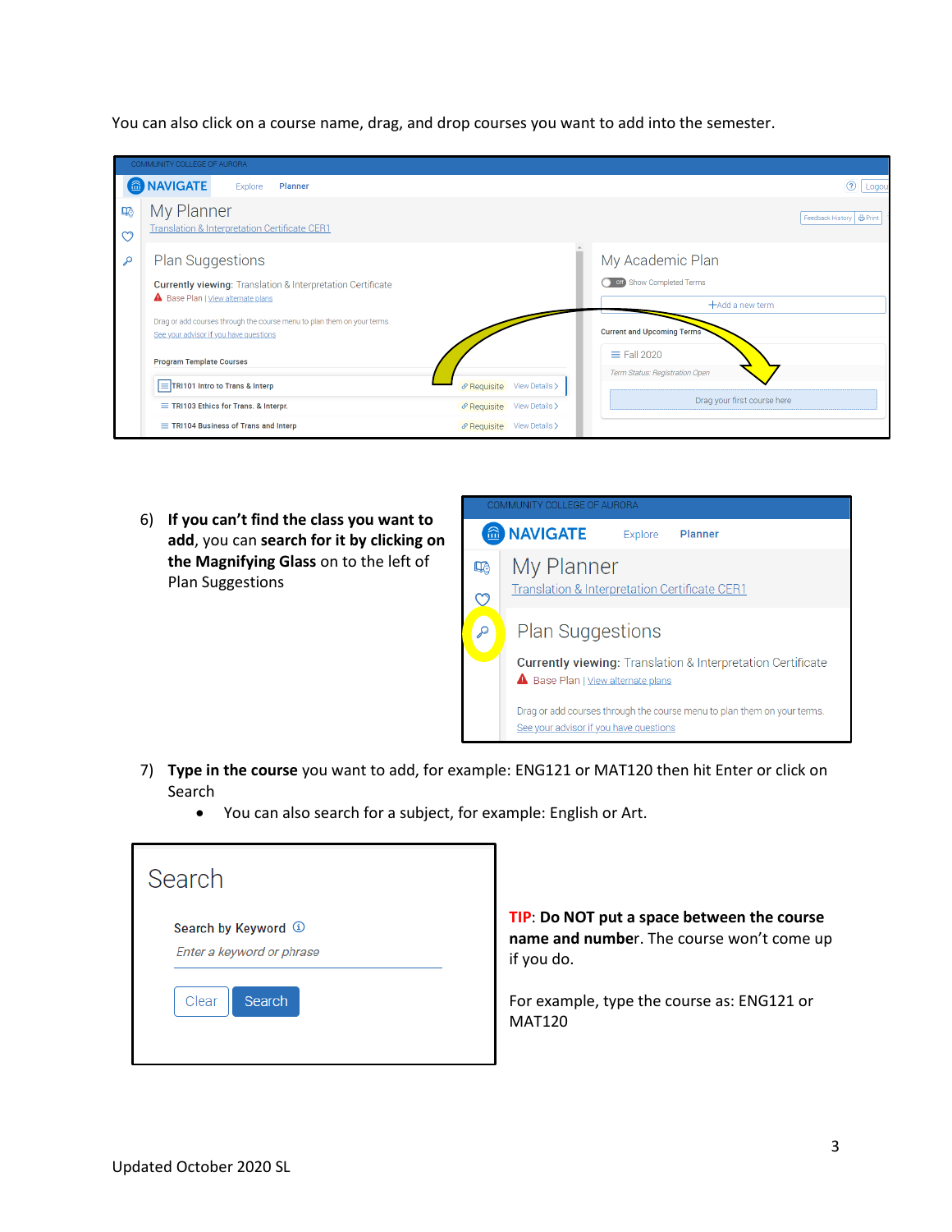You can also click on a course name, drag, and drop courses you want to add into the semester.



6) **If you can't find the class you want to add**, you can **search for it by clicking on the Magnifying Glass** on to the left of Plan Suggestions



- 7) **Type in the course** you want to add, for example: ENG121 or MAT120 then hit Enter or click on Search
	- You can also search for a subject, for example: English or Art.

| Search                                                      |  |
|-------------------------------------------------------------|--|
| Search by Keyword <sup>1</sup><br>Enter a keyword or phrase |  |
| Clear<br>Search                                             |  |
|                                                             |  |

**TIP**: **Do NOT put a space between the course name and numbe**r. The course won't come up if you do.

For example, type the course as: ENG121 or MAT120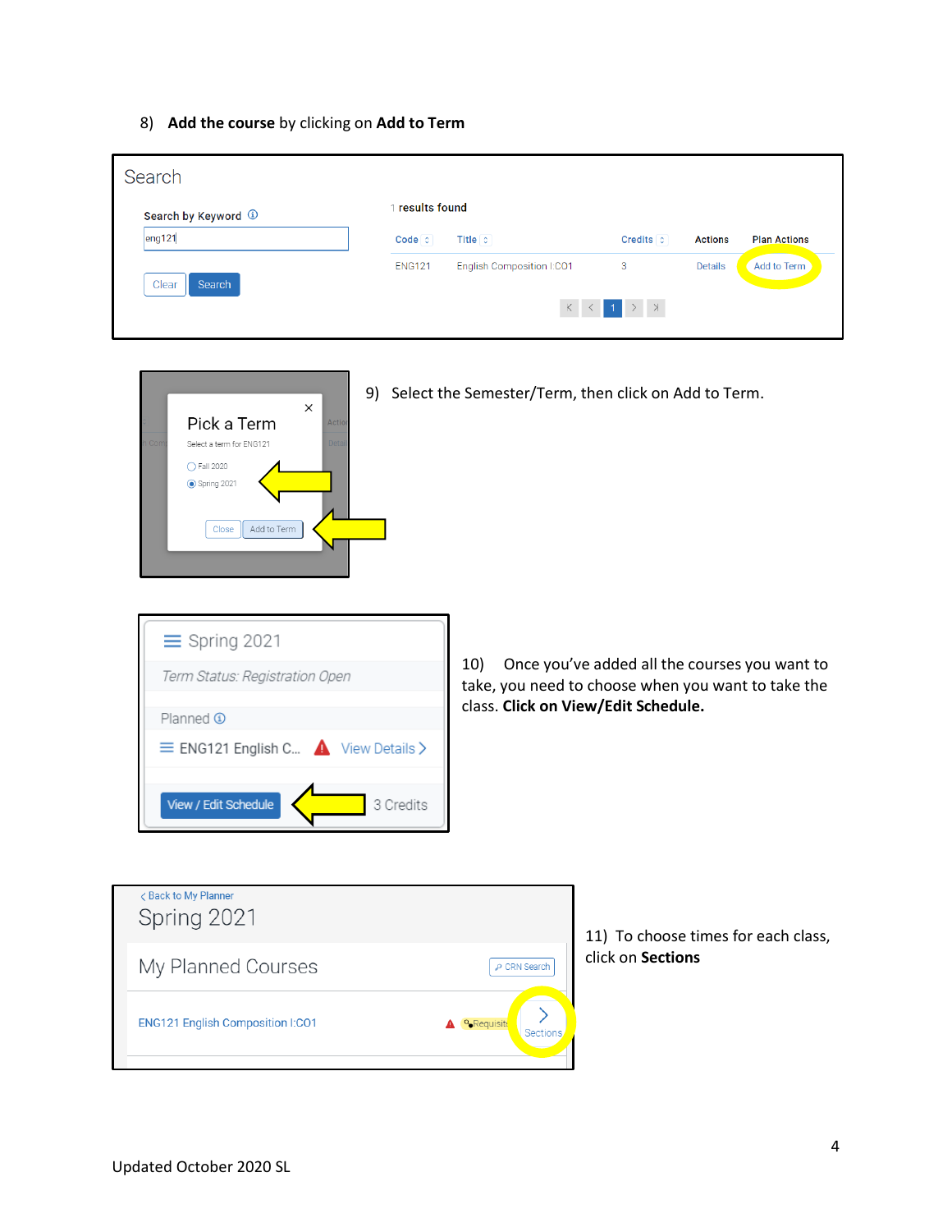# 8) **Add the course** by clicking on **Add to Term**

| Search                                                                                                                                             |                 |                                                                                                                                                   |                                     |                |                     |
|----------------------------------------------------------------------------------------------------------------------------------------------------|-----------------|---------------------------------------------------------------------------------------------------------------------------------------------------|-------------------------------------|----------------|---------------------|
| Search by Keyword 1                                                                                                                                | 1 results found |                                                                                                                                                   |                                     |                |                     |
| eng121                                                                                                                                             | Code c          | Title c                                                                                                                                           | <b>Credits</b> c                    | <b>Actions</b> | <b>Plan Actions</b> |
| Clear<br>Search                                                                                                                                    | <b>ENG121</b>   | English Composition I:CO1                                                                                                                         | 3                                   | <b>Details</b> | Add to Term         |
| $\times$<br>Pick a Term<br>Actio<br>Select a term for ENG121<br>Deta<br>◯ Fall 2020<br>Spring 2021<br>Add to Term<br>Close<br>$\equiv$ Spring 2021 |                 | 9) Select the Semester/Term, then click on Add to Term.                                                                                           |                                     |                |                     |
| Term Status: Registration Open<br>Planned <sup>®</sup><br>$\equiv$ ENG121 English C $\triangle$ View Details >                                     |                 | Once you've added all the courses you want to<br>10)<br>take, you need to choose when you want to take the<br>class. Click on View/Edit Schedule. |                                     |                |                     |
| View / Edit Schedule                                                                                                                               | 3 Credits       |                                                                                                                                                   |                                     |                |                     |
| < Back to My Planner<br>Spring 2021                                                                                                                |                 |                                                                                                                                                   | 11) To choose times for each class, |                |                     |
| My Planned Courses                                                                                                                                 |                 | click on Sections<br>P CRN Search                                                                                                                 |                                     |                |                     |
| <b>ENG121 English Composition I:CO1</b>                                                                                                            |                 | <b>A &amp;</b> Requisite<br><b>Sections</b>                                                                                                       |                                     |                |                     |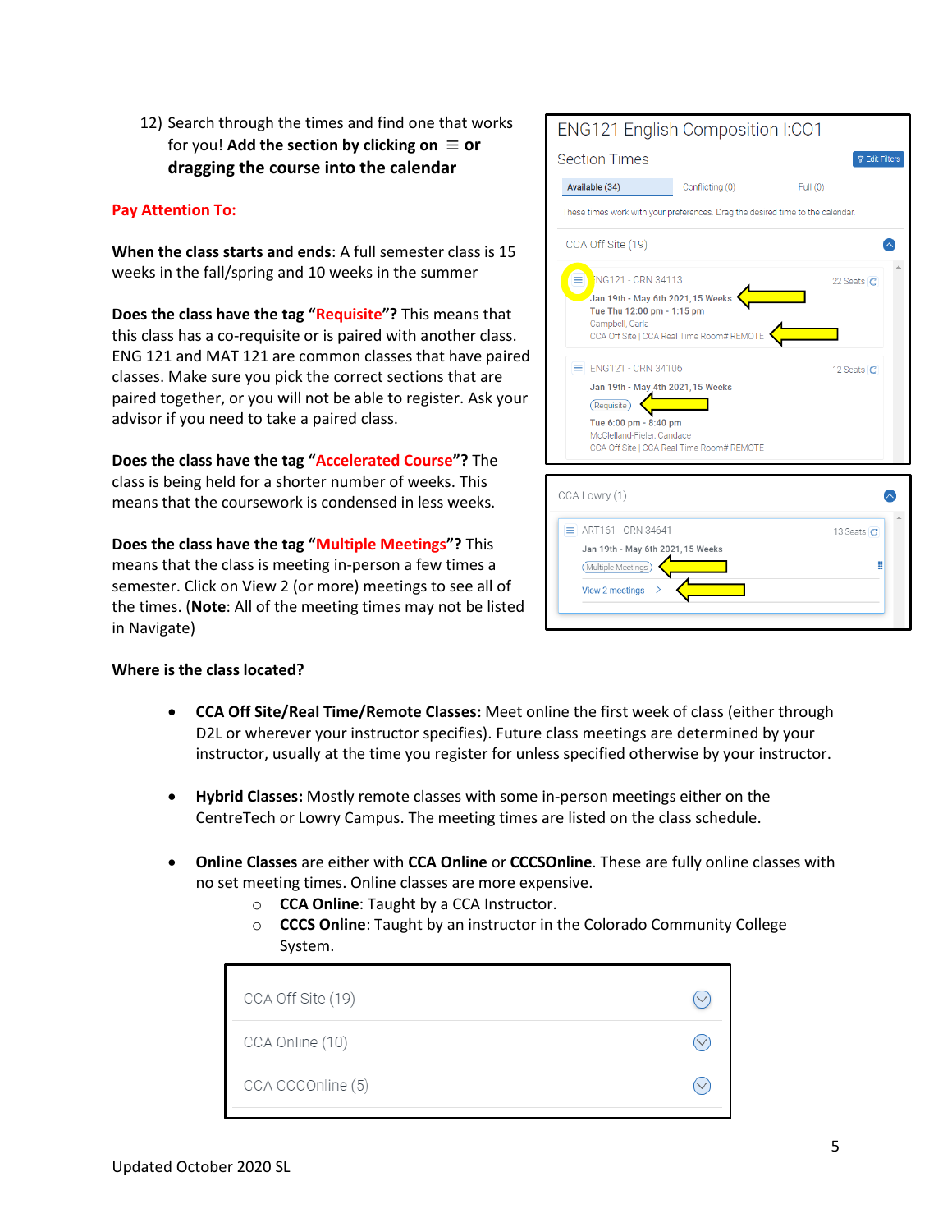12) Search through the times and find one that works for you! Add the section by clicking on  $\equiv$  or **dragging the course into the calendar**

### **Pay Attention To:**

**When the class starts and ends**: A full semester class is 15 weeks in the fall/spring and 10 weeks in the summer

**Does the class have the tag "Requisite"?** This means that this class has a co-requisite or is paired with another class. ENG 121 and MAT 121 are common classes that have paired classes. Make sure you pick the correct sections that are paired together, or you will not be able to register. Ask your advisor if you need to take a paired class.

**Does the class have the tag "Accelerated Course"?** The class is being held for a shorter number of weeks. This means that the coursework is condensed in less weeks.

**Does the class have the tag "Multiple Meetings"?** This means that the class is meeting in-person a few times a semester. Click on View 2 (or more) meetings to see all of the times. (**Note**: All of the meeting times may not be listed in Navigate)



#### **Where is the class located?**

- **CCA Off Site/Real Time/Remote Classes:** Meet online the first week of class (either through D2L or wherever your instructor specifies). Future class meetings are determined by your instructor, usually at the time you register for unless specified otherwise by your instructor.
- **Hybrid Classes:** Mostly remote classes with some in-person meetings either on the CentreTech or Lowry Campus. The meeting times are listed on the class schedule.
- **Online Classes** are either with **CCA Online** or **CCCSOnline**. These are fully online classes with no set meeting times. Online classes are more expensive.
	- o **CCA Online**: Taught by a CCA Instructor.
	- o **CCCS Online**: Taught by an instructor in the Colorado Community College System.

| CCA Off Site (19) |  |
|-------------------|--|
| CCA Online (10)   |  |
| CCA CCCOnline (5) |  |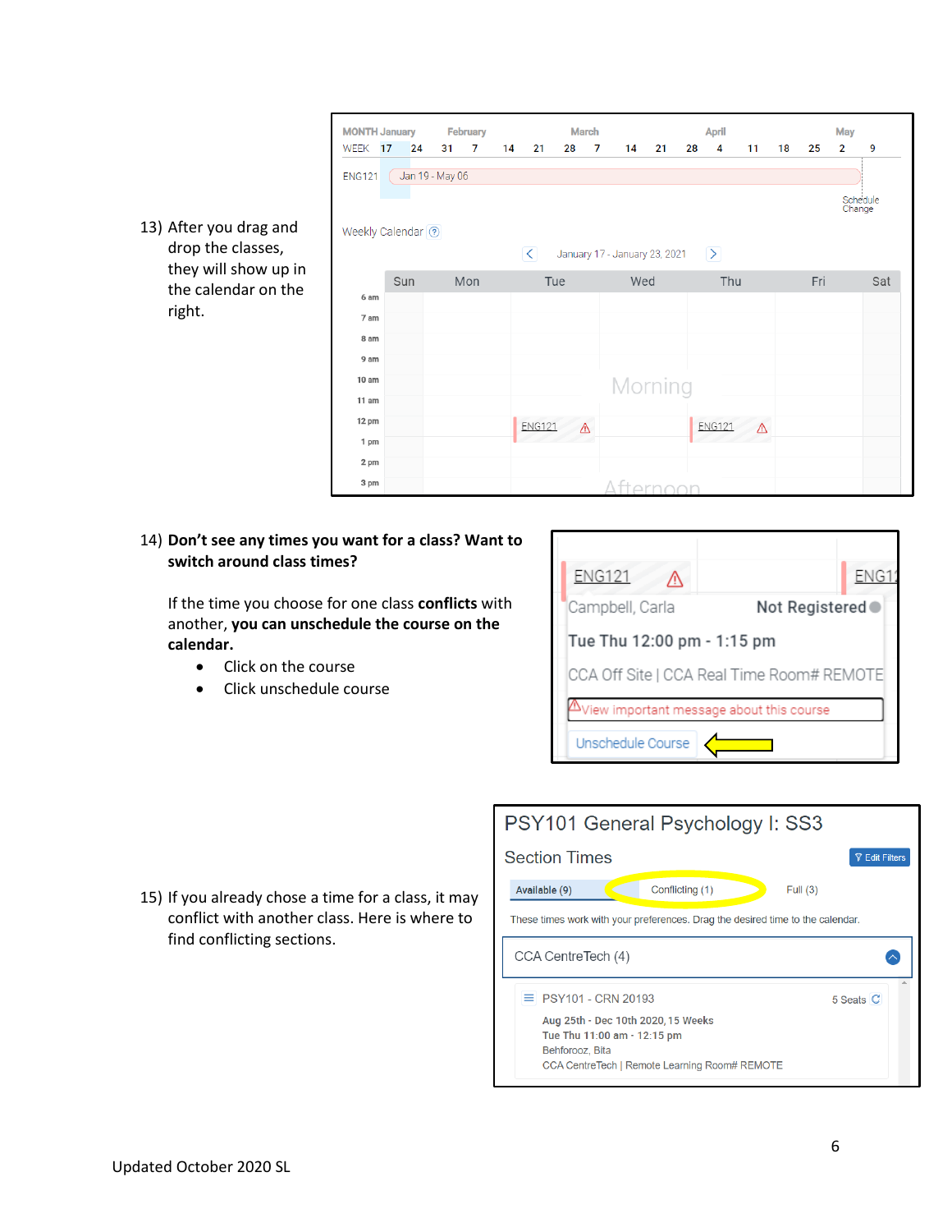**MONTH January** February March April May **WEEK 17 24**  $31$  $\overline{7}$  $14$  $21$ 28  $\overline{7}$  $14$  $21$ 28  $\overline{\mathbf{4}}$  $11$ 18 25  $\overline{2}$ 9 ENG121 (Jan 19 - May 06 Schedule<br>Change 13) After you drag and Weekly Calendar<sup>(?)</sup> drop the classes,  $\sum$  $\langle$ January 17 - January 23, 2021 they will show up in Sun Mon Tue Wed Thu Fri Sat the calendar on the 6 am 7 am 8 am 9 am  $10<sub>am</sub>$ Morning  $11$  am  $12 \text{ pm}$ **ENG121 ENG121**  $\triangle$  $\mathbb{A}$ 1 pm  $2<sub>pm</sub>$ 3 pm Afternoon

## 14) **Don't see any times you want for a class? Want to switch around class times?**

If the time you choose for one class **conflicts** with another, **you can unschedule the course on the calendar.**

• Click on the course

right.

• Click unschedule course



| PSY101 General Psychology I: SS3                                                     |           |  |  |  |  |
|--------------------------------------------------------------------------------------|-----------|--|--|--|--|
| <b>Section Times</b><br><b>Y</b> Edit Filters                                        |           |  |  |  |  |
| Available (9)<br>Conflicting (1)<br>Full $(3)$                                       |           |  |  |  |  |
| These times work with your preferences. Drag the desired time to the calendar.       |           |  |  |  |  |
| CCA CentreTech (4)                                                                   |           |  |  |  |  |
| $\equiv$ PSY101 - CRN 20193                                                          | 5 Seats C |  |  |  |  |
| Aug 25th - Dec 10th 2020, 15 Weeks<br>Tue Thu 11:00 am - 12:15 pm<br>Behforooz, Bita |           |  |  |  |  |
| CCA CentreTech   Remote Learning Room# REMOTE                                        |           |  |  |  |  |

15) If you already chose a time for a class, it may conflict with another class. Here is where to find conflicting sections.